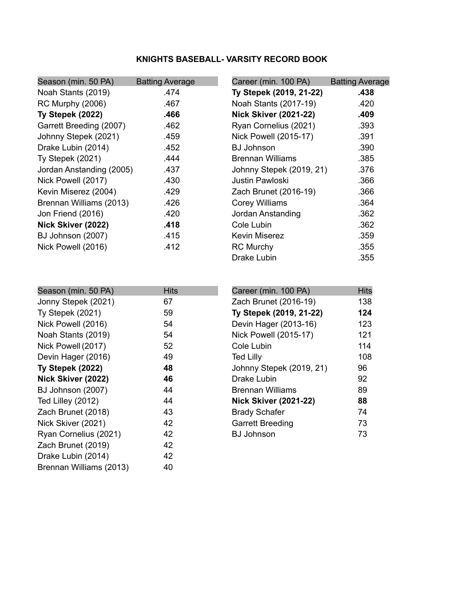## **KNIGHTS BASEBALL- VARSITY RECORD BOOK**

| Season (min. 50 PA)      | <b>Batting Average</b> | Career (min. 100 PA)         | <b>Batting Average</b> |
|--------------------------|------------------------|------------------------------|------------------------|
| Noah Stants (2019)       | .474                   | Ty Stepek (2019, 21-22)      | .438                   |
| <b>RC Murphy (2006)</b>  | .467                   | Noah Stants (2017-19)        | .420                   |
| Ty Stepek (2022)         | .466                   | <b>Nick Skiver (2021-22)</b> | .409                   |
| Garrett Breeding (2007)  | .462                   | Ryan Cornelius (2021)        | .393                   |
| Johnny Stepek (2021)     | .459                   | Nick Powell (2015-17)        | .391                   |
| Drake Lubin (2014)       | .452                   | <b>BJ Johnson</b>            | .390                   |
| <b>Ty Stepek (2021)</b>  | .444                   | <b>Brennan Williams</b>      | .385                   |
| Jordan Anstanding (2005) | .437                   | Johnny Stepek (2019, 21)     | .376                   |
| Nick Powell (2017)       | .430                   | Justin Pawloski              | .366                   |
| Kevin Miserez (2004)     | .429                   | Zach Brunet (2016-19)        | .366                   |
| Brennan Williams (2013)  | .426                   | <b>Corey Williams</b>        | .364                   |
| Jon Friend (2016)        | .420                   | Jordan Anstanding            | .362                   |
| Nick Skiver (2022)       | .418                   | Cole Lubin                   | .362                   |
| BJ Johnson (2007)        | .415                   | <b>Kevin Miserez</b>         | .359                   |
| Nick Powell (2016)       | .412                   | <b>RC Murchy</b>             | .355                   |
|                          |                        | Drake Lubin                  | .355                   |

| Season (min. 50 PA)     | <b>Hits</b> | Career (min. 100 PA)         | <b>Hits</b> |
|-------------------------|-------------|------------------------------|-------------|
| Jonny Stepek (2021)     | 67          | Zach Brunet (2016-19)        | 138         |
| <b>Ty Stepek (2021)</b> | 59          | Ty Stepek (2019, 21-22)      | 124         |
| Nick Powell (2016)      | 54          | Devin Hager (2013-16)        | 123         |
| Noah Stants (2019)      | 54          | Nick Powell (2015-17)        | 121         |
| Nick Powell (2017)      | 52          | Cole Lubin                   | 114         |
| Devin Hager (2016)      | 49          | <b>Ted Lilly</b>             | 108         |
| Ty Stepek (2022)        | 48          | Johnny Stepek (2019, 21)     | 96          |
| Nick Skiver (2022)      | 46          | Drake Lubin                  | 92          |
| BJ Johnson (2007)       | 44          | <b>Brennan Williams</b>      | 89          |
| Ted Lilley (2012)       | 44          | <b>Nick Skiver (2021-22)</b> | 88          |
| Zach Brunet (2018)      | 43          | <b>Brady Schafer</b>         | 74          |
| Nick Skiver (2021)      | 42          | <b>Garrett Breeding</b>      | 73          |
| Ryan Cornelius (2021)   | 42          | <b>BJ Johnson</b>            | 73          |
| Zach Brunet (2019)      | 42          |                              |             |
| Drake Lubin (2014)      | 42          |                              |             |
| Brennan Williams (2013) | 40          |                              |             |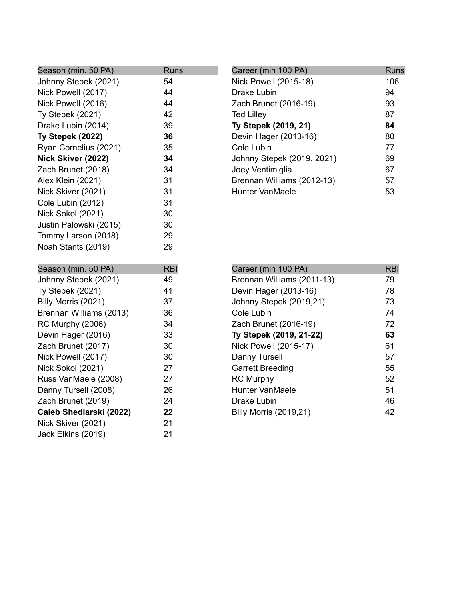| Season (min. 50 PA)                      | <b>Runs</b> |
|------------------------------------------|-------------|
| Johnny Stepek (2021)                     | 54          |
| Nick Powell (2017)                       | 44          |
| Nick Powell (2016)                       | 44          |
| Ty Stepek (2021)                         | 42          |
| Drake Lubin (2014)                       | 39          |
| Ty Stepek (2022)                         | 36          |
| Ryan Cornelius (2021)                    | 35          |
| Nick Skiver (2022)                       | 34          |
| Zach Brunet (2018)                       | 34          |
| Alex Klein (2021)                        | 31          |
| Nick Skiver (2021)                       | 31          |
| Cole Lubin (2012)                        | 31          |
| Nick Sokol (2021)                        | 30          |
| Justin Palowski (2015)                   | 30          |
| Tommy Larson (2018)                      | 29          |
| Noah Stants (2019)                       | 29          |
|                                          |             |
|                                          |             |
| Season (min. 50 PA)                      | <b>RBI</b>  |
| Johnny Stepek (2021)                     | 49          |
| Ty Stepek (2021)                         | 41          |
| Billy Morris (2021)                      | 37          |
| Brennan Williams (2013)                  | 36          |
| <b>RC Murphy (2006)</b>                  | 34          |
| Devin Hager (2016)                       | 33          |
| Zach Brunet (2017)                       | 30          |
| Nick Powell (2017)                       | 30          |
| Nick Sokol (2021)                        | 27          |
| Russ VanMaele (2008)                     | 27          |
| Danny Tursell (2008)                     | 26          |
| Zach Brunet (2019)                       | 24          |
| Caleb Shedlarski (2022)                  | 22          |
| Nick Skiver (2021)<br>Jack Elkins (2019) | 21<br>21    |

| Career (min 100 PA)        | Runs |
|----------------------------|------|
| Nick Powell (2015-18)      | 106  |
| Drake Lubin                | 94   |
| Zach Brunet (2016-19)      | 93   |
| <b>Ted Lilley</b>          | 87   |
| Ty Stepek (2019, 21)       | 84   |
| Devin Hager (2013-16)      | 80   |
| Cole Lubin                 | 77   |
| Johnny Stepek (2019, 2021) | 69   |
| Joey Ventimiglia           | 67   |
| Brennan Williams (2012-13) | 57   |
| Hunter VanMaele            | 53   |

| Career (min 100 PA)           | <b>RBI</b> |
|-------------------------------|------------|
| Brennan Williams (2011-13)    | 79         |
| Devin Hager (2013-16)         | 78         |
| Johnny Stepek (2019,21)       | 73         |
| Cole Lubin                    | 74         |
| Zach Brunet (2016-19)         | 72         |
| Ty Stepek (2019, 21-22)       | 63         |
| <b>Nick Powell (2015-17)</b>  | 61         |
| Danny Tursell                 | 57         |
| <b>Garrett Breeding</b>       | 55         |
| <b>RC Murphy</b>              | 52         |
| Hunter VanMaele               | 51         |
| Drake Lubin                   | 46         |
| <b>Billy Morris (2019,21)</b> | 42         |
|                               |            |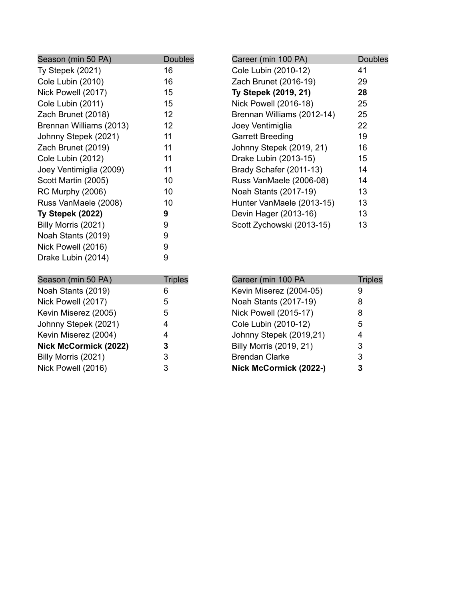| Season (min 50 PA)      | <b>Doubles</b> |
|-------------------------|----------------|
| Ty Stepek (2021)        | 16             |
| Cole Lubin (2010)       | 16             |
| Nick Powell (2017)      | 15             |
| Cole Lubin (2011)       | 15             |
| Zach Brunet (2018)      | 12             |
| Brennan Williams (2013) | 12             |
| Johnny Stepek (2021)    | 11             |
| Zach Brunet (2019)      | 11             |
| Cole Lubin (2012)       | 11             |
| Joey Ventimiglia (2009) | 11             |
| Scott Martin (2005)     | 10             |
| <b>RC Murphy (2006)</b> | 10             |
| Russ VanMaele (2008)    | 10             |
| Ty Stepek (2022)        | 9              |
| Billy Morris (2021)     | 9              |
| Noah Stants (2019)      | 9              |
| Nick Powell (2016)      | 9              |
| Drake Lubin (2014)      | 9              |
| Season (min 50 PA)      | <b>Triples</b> |
| Noah Stants (2019)      | 6              |
| Nick Powell (2017)      | 5              |
| Kevin Miserez (2005)    | 5              |
| Johnny Stepek (2021)    | 4              |
| Kevin Miserez (2004)    | 4              |
| Nick McCormick (2022)   | 3              |
| Billy Morris (2021)     | 3              |
| Nick Powell (2016)      | 3              |

| Career (min 100 PA)        | <b>Doubles</b> |
|----------------------------|----------------|
| Cole Lubin (2010-12)       | 41             |
| Zach Brunet (2016-19)      | 29             |
| Ty Stepek (2019, 21)       | 28             |
| Nick Powell (2016-18)      | 25             |
| Brennan Williams (2012-14) | 25             |
| Joey Ventimiglia           | 22             |
| <b>Garrett Breeding</b>    | 19             |
| Johnny Stepek (2019, 21)   | 16             |
| Drake Lubin (2013-15)      | 15             |
| Brady Schafer (2011-13)    | 14             |
| Russ VanMaele (2006-08)    | 14             |
| Noah Stants (2017-19)      | 13             |
| Hunter VanMaele (2013-15)  | 13             |
| Devin Hager (2013-16)      | 13             |
| Scott Zychowski (2013-15)  | 13             |
|                            |                |

| Career (min 100 PA             | <b>Triples</b> |
|--------------------------------|----------------|
| Kevin Miserez (2004-05)        | 9              |
| Noah Stants (2017-19)          | 8              |
| <b>Nick Powell (2015-17)</b>   | 8              |
| Cole Lubin (2010-12)           | 5              |
| Johnny Stepek (2019,21)        | 4              |
| <b>Billy Morris (2019, 21)</b> | 3              |
| <b>Brendan Clarke</b>          | 3              |
| Nick McCormick (2022-)         | 3              |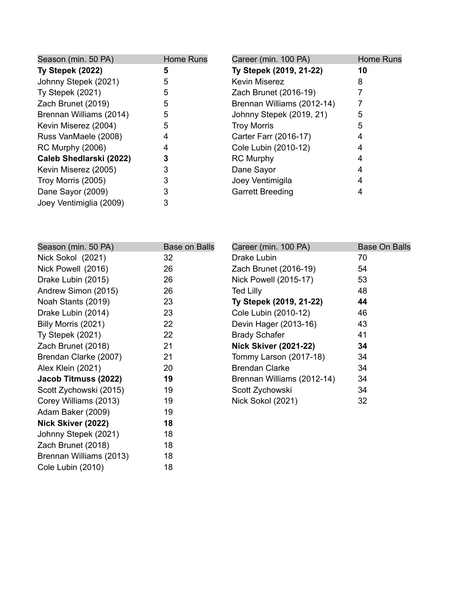| Season (min. 50 PA)     | Home Runs | Career (min. 100 PA)       | Home Runs |
|-------------------------|-----------|----------------------------|-----------|
| Ty Stepek (2022)        | 5         | Ty Stepek (2019, 21-22)    | 10        |
| Johnny Stepek (2021)    | 5         | <b>Kevin Miserez</b>       | 8         |
| Ty Stepek (2021)        | 5         | Zach Brunet (2016-19)      |           |
| Zach Brunet (2019)      | 5         | Brennan Williams (2012-14) |           |
| Brennan Williams (2014) | 5         | Johnny Stepek (2019, 21)   | 5         |
| Kevin Miserez (2004)    | 5         | <b>Troy Morris</b>         | 5         |
| Russ VanMaele (2008)    | 4         | Carter Farr (2016-17)      |           |
| RC Murphy (2006)        |           | Cole Lubin (2010-12)       |           |
| Caleb Shedlarski (2022) |           | <b>RC Murphy</b>           |           |
| Kevin Miserez (2005)    |           | Dane Sayor                 |           |
| Troy Morris (2005)      |           | Joey Ventimigila           |           |
| Dane Sayor (2009)       |           | <b>Garrett Breeding</b>    |           |
| Joey Ventimiglia (2009) |           |                            |           |

| Season (min. 50 PA)     | <b>Base on Balls</b> | Career (min. 100 PA)         | <b>Base On Balls</b> |
|-------------------------|----------------------|------------------------------|----------------------|
| Nick Sokol (2021)       | 32                   | Drake Lubin                  | 70                   |
| Nick Powell (2016)      | 26                   | Zach Brunet (2016-19)        | 54                   |
| Drake Lubin (2015)      | 26                   | Nick Powell (2015-17)        | 53                   |
| Andrew Simon (2015)     | 26                   | <b>Ted Lilly</b>             | 48                   |
| Noah Stants (2019)      | 23                   | Ty Stepek (2019, 21-22)      | 44                   |
| Drake Lubin (2014)      | 23                   | Cole Lubin (2010-12)         | 46                   |
| Billy Morris (2021)     | 22                   | Devin Hager (2013-16)        | 43                   |
| <b>Ty Stepek (2021)</b> | 22                   | <b>Brady Schafer</b>         | 41                   |
| Zach Brunet (2018)      | 21                   | <b>Nick Skiver (2021-22)</b> | 34                   |
| Brendan Clarke (2007)   | 21                   | Tommy Larson (2017-18)       | 34                   |
| Alex Klein (2021)       | 20                   | <b>Brendan Clarke</b>        | 34                   |
| Jacob Titmuss (2022)    | 19                   | Brennan Williams (2012-14)   | 34                   |
| Scott Zychowski (2015)  | 19                   | Scott Zychowski              | 34                   |
| Corey Williams (2013)   | 19                   | Nick Sokol (2021)            | 32                   |
| Adam Baker (2009)       | 19                   |                              |                      |
| Nick Skiver (2022)      | 18                   |                              |                      |
| Johnny Stepek (2021)    | 18                   |                              |                      |
| Zach Brunet (2018)      | 18                   |                              |                      |
| Brennan Williams (2013) | 18                   |                              |                      |
| Cole Lubin (2010)       | 18                   |                              |                      |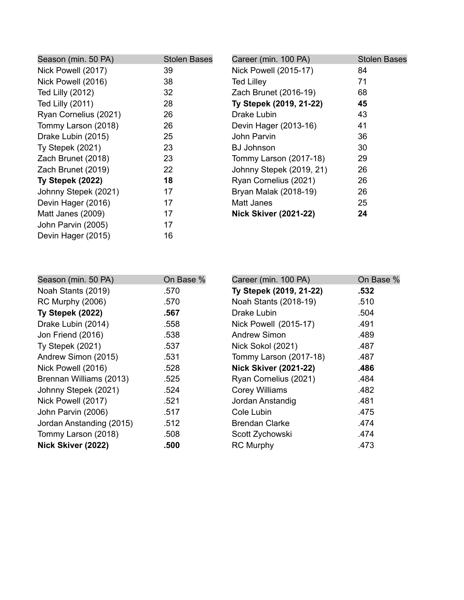| Season (min. 50 PA)     | <b>Stolen Bases</b> | Career (min. 100 PA)         | <b>Stolen Bases</b> |
|-------------------------|---------------------|------------------------------|---------------------|
| Nick Powell (2017)      | 39                  | Nick Powell (2015-17)        | 84                  |
| Nick Powell (2016)      | 38                  | <b>Ted Lilley</b>            | 71                  |
| Ted Lilly (2012)        | 32                  | Zach Brunet (2016-19)        | 68                  |
| Ted Lilly (2011)        | 28                  | Ty Stepek (2019, 21-22)      | 45                  |
| Ryan Cornelius (2021)   | 26                  | Drake Lubin                  | 43                  |
| Tommy Larson (2018)     | 26                  | Devin Hager (2013-16)        | 41                  |
| Drake Lubin (2015)      | 25                  | John Parvin                  | 36                  |
| <b>Ty Stepek (2021)</b> | 23                  | <b>BJ Johnson</b>            | 30                  |
| Zach Brunet (2018)      | 23                  | Tommy Larson (2017-18)       | 29                  |
| Zach Brunet (2019)      | 22                  | Johnny Stepek (2019, 21)     | 26                  |
| Ty Stepek (2022)        | 18                  | Ryan Cornelius (2021)        | 26                  |
| Johnny Stepek (2021)    | 17                  | Bryan Malak (2018-19)        | 26                  |
| Devin Hager (2016)      | 17                  | Matt Janes                   | 25                  |
| Matt Janes (2009)       | 17                  | <b>Nick Skiver (2021-22)</b> | 24                  |
| John Parvin (2005)      | 17                  |                              |                     |
| Devin Hager (2015)      | 16                  |                              |                     |

| Season (min. 50 PA)      | On Base % | Career (min. 100 PA)         | On Base % |
|--------------------------|-----------|------------------------------|-----------|
| Noah Stants (2019)       | .570      | Ty Stepek (2019, 21-22)      | .532      |
| <b>RC Murphy (2006)</b>  | .570      | Noah Stants (2018-19)        | .510      |
| Ty Stepek (2022)         | .567      | Drake Lubin                  | .504      |
| Drake Lubin (2014)       | .558      | Nick Powell (2015-17)        | .491      |
| Jon Friend (2016)        | .538      | Andrew Simon                 | .489      |
| <b>Ty Stepek (2021)</b>  | .537      | Nick Sokol (2021)            | .487      |
| Andrew Simon (2015)      | .531      | Tommy Larson (2017-18)       | .487      |
| Nick Powell (2016)       | .528      | <b>Nick Skiver (2021-22)</b> | .486      |
| Brennan Williams (2013)  | .525      | Ryan Cornelius (2021)        | .484      |
| Johnny Stepek (2021)     | .524      | <b>Corey Williams</b>        | .482      |
| Nick Powell (2017)       | .521      | Jordan Anstandig             | .481      |
| John Parvin (2006)       | .517      | Cole Lubin                   | .475      |
| Jordan Anstanding (2015) | .512      | <b>Brendan Clarke</b>        | .474      |
| Tommy Larson (2018)      | .508      | Scott Zychowski              | .474      |
| Nick Skiver (2022)       | .500      | <b>RC Murphy</b>             | .473      |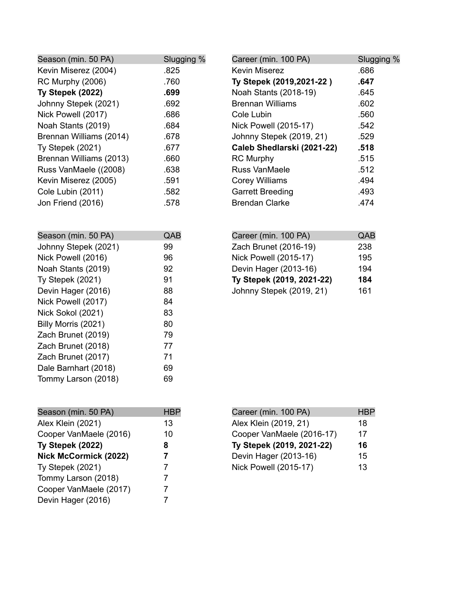| Season (min. 50 PA)     | Slugging % | Career (min. 100 PA)       | Slugging % |
|-------------------------|------------|----------------------------|------------|
| Kevin Miserez (2004)    | .825       | <b>Kevin Miserez</b>       | .686       |
| <b>RC Murphy (2006)</b> | .760       | Ty Stepek (2019, 2021-22)  | .647       |
| Ty Stepek (2022)        | .699       | Noah Stants (2018-19)      | .645       |
| Johnny Stepek (2021)    | .692       | <b>Brennan Williams</b>    | .602       |
| Nick Powell (2017)      | .686       | Cole Lubin                 | .560       |
| Noah Stants (2019)      | .684       | Nick Powell (2015-17)      | .542       |
| Brennan Williams (2014) | .678       | Johnny Stepek (2019, 21)   | .529       |
| Ty Stepek (2021)        | .677       | Caleb Shedlarski (2021-22) | .518       |
| Brennan Williams (2013) | .660       | <b>RC Murphy</b>           | .515       |
| Russ VanMaele ((2008)   | .638       | <b>Russ VanMaele</b>       | .512       |
| Kevin Miserez (2005)    | .591       | <b>Corey Williams</b>      | .494       |
| Cole Lubin (2011)       | .582       | <b>Garrett Breeding</b>    | .493       |
| Jon Friend (2016)       | .578       | <b>Brendan Clarke</b>      | .474       |

| A(.) |
|------|
| 99   |
| 96   |
| 92   |
| 91   |
| 88   |
| 84   |
| 83   |
| 80   |
| 79   |
| 77   |
| 71   |
| 69   |
| 69   |
|      |

| Career (min. 100 PA)         | QAB |
|------------------------------|-----|
| Zach Brunet (2016-19)        | 238 |
| <b>Nick Powell (2015-17)</b> | 195 |
| Devin Hager (2013-16)        | 194 |
| Ty Stepek (2019, 2021-22)    | 184 |
| Johnny Stepek (2019, 21)     | 161 |

| Season (min. 50 PA)          | <b>HBP</b> |
|------------------------------|------------|
| Alex Klein (2021)            | 13         |
| Cooper VanMaele (2016)       | 10         |
| Ty Stepek (2022)             | 8          |
| <b>Nick McCormick (2022)</b> | 7          |
| <b>Ty Stepek (2021)</b>      | 7          |
| Tommy Larson (2018)          | 7          |
| Cooper VanMaele (2017)       | 7          |
| Devin Hager (2016)           |            |

| Career (min. 100 PA)         | <b>HBP</b> |
|------------------------------|------------|
| Alex Klein (2019, 21)        | 18         |
| Cooper VanMaele (2016-17)    | 17         |
| Ty Stepek (2019, 2021-22)    | 16         |
| Devin Hager (2013-16)        | 15         |
| <b>Nick Powell (2015-17)</b> | 13         |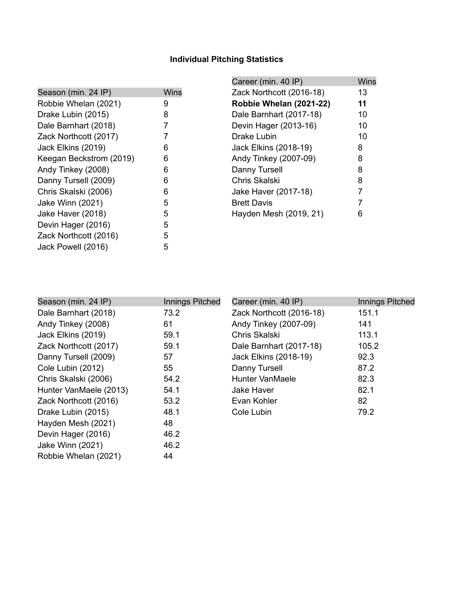# **Individual Pitching Statistics**

|                         |      | Career (min. 40 IP)      | <b>Wins</b> |
|-------------------------|------|--------------------------|-------------|
| Season (min. 24 IP)     | Wins | Zack Northcott (2016-18) | 13          |
| Robbie Whelan (2021)    | 9    | Robbie Whelan (2021-22)  | 11          |
| Drake Lubin (2015)      | 8    | Dale Barnhart (2017-18)  | 10          |
| Dale Barnhart (2018)    | 7    | Devin Hager (2013-16)    | 10          |
| Zack Northcott (2017)   |      | Drake Lubin              | 10          |
| Jack Elkins (2019)      | 6    | Jack Elkins (2018-19)    | 8           |
| Keegan Beckstrom (2019) | 6    | Andy Tinkey (2007-09)    | 8           |
| Andy Tinkey (2008)      | 6    | Danny Tursell            | 8           |
| Danny Tursell (2009)    | 6    | Chris Skalski            | 8           |
| Chris Skalski (2006)    | 6    | Jake Haver (2017-18)     |             |
| Jake Winn (2021)        | 5    | <b>Brett Davis</b>       |             |
| Jake Haver (2018)       | 5    | Hayden Mesh (2019, 21)   | 6           |
| Devin Hager (2016)      | 5    |                          |             |
| Zack Northcott (2016)   | 5    |                          |             |
| Jack Powell (2016)      | 5    |                          |             |

| Season (min. 24 IP)    | Innings Pitched | Career (min. 40 IP)      | <b>Innings Pitched</b> |
|------------------------|-----------------|--------------------------|------------------------|
| Dale Barnhart (2018)   | 73.2            | Zack Northcott (2016-18) | 151.1                  |
| Andy Tinkey (2008)     | 61              | Andy Tinkey (2007-09)    | 141                    |
| Jack Elkins (2019)     | 59.1            | Chris Skalski            | 113.1                  |
| Zack Northcott (2017)  | 59.1            | Dale Barnhart (2017-18)  | 105.2                  |
| Danny Tursell (2009)   | 57              | Jack Elkins (2018-19)    | 92.3                   |
| Cole Lubin (2012)      | 55              | Danny Tursell            | 87.2                   |
| Chris Skalski (2006)   | 54.2            | <b>Hunter VanMaele</b>   | 82.3                   |
| Hunter VanMaele (2013) | 54.1            | Jake Haver               | 82.1                   |
| Zack Northcott (2016)  | 53.2            | Evan Kohler              | 82                     |
| Drake Lubin (2015)     | 48.1            | Cole Lubin               | 79.2                   |
| Hayden Mesh (2021)     | 48              |                          |                        |
| Devin Hager (2016)     | 46.2            |                          |                        |
| Jake Winn (2021)       | 46.2            |                          |                        |
| Robbie Whelan (2021)   | 44              |                          |                        |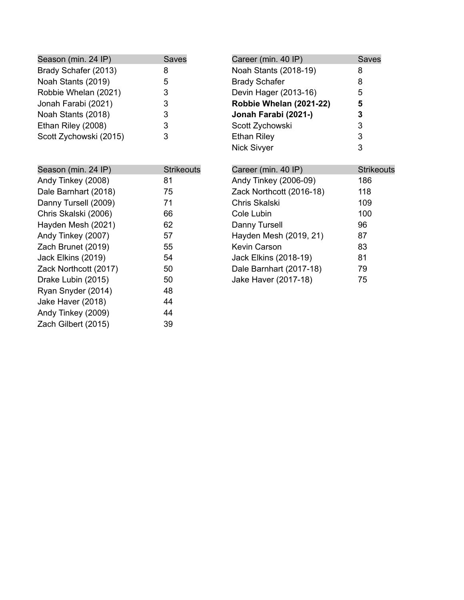| Season (min. 24 IP)    | <b>Saves</b> |
|------------------------|--------------|
| Brady Schafer (2013)   | 8            |
| Noah Stants (2019)     | 5            |
| Robbie Whelan (2021)   | 3            |
| Jonah Farabi (2021)    | 3            |
| Noah Stants (2018)     | 3            |
| Ethan Riley (2008)     | 3            |
| Scott Zychowski (2015) | 3            |

| Career (min. 40 IP)                                 | <b>Saves</b>      |
|-----------------------------------------------------|-------------------|
| Noah Stants (2018-19)                               | 8                 |
| <b>Brady Schafer</b>                                | 8                 |
| Devin Hager (2013-16)                               | 5                 |
| Robbie Whelan (2021-22)                             | 5                 |
| Jonah Farabi (2021-)                                | 3                 |
| Scott Zychowski                                     | 3                 |
| Ethan Riley                                         | 3                 |
| Nick Sivyer                                         | 3                 |
|                                                     |                   |
| $C$ <i>error (min A <math>\overline{AD}</math>)</i> | <b>Ctrilzoo</b> u |

| Season (min. 24 IP)   | <b>Strikeouts</b> |
|-----------------------|-------------------|
| Andy Tinkey (2008)    | 81                |
| Dale Barnhart (2018)  | 75                |
| Danny Tursell (2009)  | 71                |
| Chris Skalski (2006)  | 66                |
| Hayden Mesh (2021)    | 62                |
| Andy Tinkey (2007)    | 57                |
| Zach Brunet (2019)    | 55                |
| Jack Elkins (2019)    | 54                |
| Zack Northcott (2017) | 50                |
| Drake Lubin (2015)    | 50                |
| Ryan Snyder (2014)    | 48                |
| Jake Haver (2018)     | 44                |
| Andy Tinkey (2009)    | 44                |
| Zach Gilbert (2015)   | 39                |

| Career (min. 40 IP)      | <b>Strikeouts</b> |
|--------------------------|-------------------|
| Andy Tinkey (2006-09)    | 186               |
| Zack Northcott (2016-18) | 118               |
| Chris Skalski            | 109               |
| Cole Lubin               | 100               |
| Danny Tursell            | 96                |
| Hayden Mesh (2019, 21)   | 87                |
| <b>Kevin Carson</b>      | 83                |
| Jack Elkins (2018-19)    | 81                |
| Dale Barnhart (2017-18)  | 79                |
| Jake Haver (2017-18)     | 75                |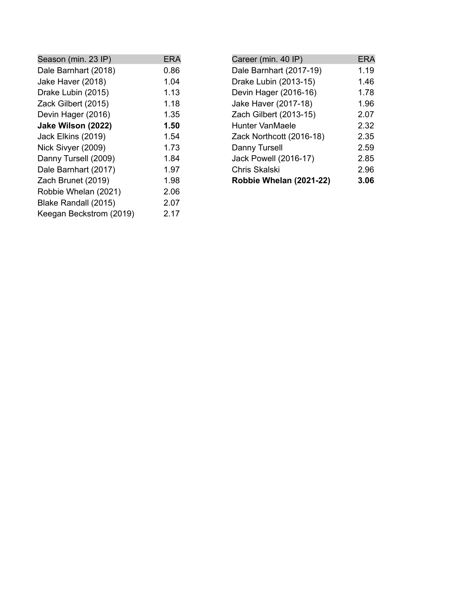| ERA  |
|------|
| 0.86 |
| 1.04 |
| 1.13 |
| 1.18 |
| 1.35 |
| 1.50 |
| 1.54 |
| 1.73 |
| 1.84 |
| 1.97 |
| 1.98 |
| 2.06 |
| 2.07 |
| 2.17 |
|      |

| Career (min. 40 IP)      | ERA  |
|--------------------------|------|
| Dale Barnhart (2017-19)  | 1.19 |
| Drake Lubin (2013-15)    | 1.46 |
| Devin Hager (2016-16)    | 1.78 |
| Jake Haver (2017-18)     | 1.96 |
| Zach Gilbert (2013-15)   | 2.07 |
| <b>Hunter VanMaele</b>   | 2.32 |
| Zack Northcott (2016-18) | 2.35 |
| Danny Tursell            | 2.59 |
| Jack Powell (2016-17)    | 2.85 |
| Chris Skalski            | 2.96 |
| Robbie Whelan (2021-22)  | 3.06 |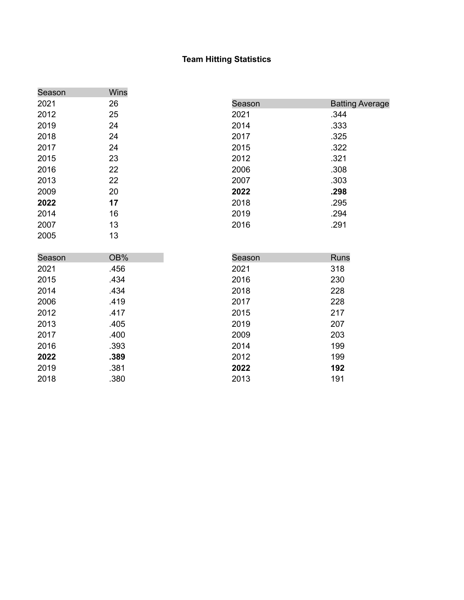#### Team Hitting Statistics

| Season | Wins |        |                        |
|--------|------|--------|------------------------|
| 2021   | 26   | Season | <b>Batting Average</b> |
| 2012   | 25   | 2021   | .344                   |
| 2019   | 24   | 2014   | .333                   |
| 2018   | 24   | 2017   | .325                   |
| 2017   | 24   | 2015   | .322                   |
| 2015   | 23   | 2012   | .321                   |
| 2016   | 22   | 2006   | .308                   |
| 2013   | 22   | 2007   | .303                   |
| 2009   | 20   | 2022   | .298                   |
| 2022   | 17   | 2018   | .295                   |
| 2014   | 16   | 2019   | .294                   |
| 2007   | 13   | 2016   | .291                   |
| 2005   | 13   |        |                        |
|        |      |        |                        |
| Season | OB%  | Season | <b>Runs</b>            |
| 2021   | .456 | 2021   | 318                    |
| 2015   | .434 | 2016   | 230                    |
| 2014   | .434 | 2018   | 228                    |
| 2006   | .419 | 2017   | 228                    |
| 2012   | .417 | 2015   | 217                    |
| 2013   | .405 | 2019   | 207                    |
| 2017   | .400 | 2009   | 203                    |
| 2016   | .393 | 2014   | 199                    |
| 2022   | .389 | 2012   | 199                    |
| 2019   | .381 | 2022   | 192                    |
| 2018   | .380 | 2013   | 191                    |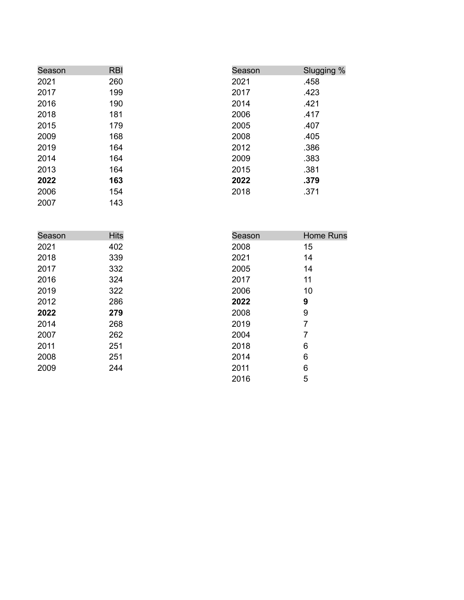| Season | <b>RBI</b> | Season | Slugging % |
|--------|------------|--------|------------|
| 2021   | 260        | 2021   | .458       |
| 2017   | 199        | 2017   | .423       |
| 2016   | 190        | 2014   | .421       |
| 2018   | 181        | 2006   | .417       |
| 2015   | 179        | 2005   | .407       |
| 2009   | 168        | 2008   | .405       |
| 2019   | 164        | 2012   | .386       |
| 2014   | 164        | 2009   | .383       |
| 2013   | 164        | 2015   | .381       |
| 2022   | 163        | 2022   | .379       |
| 2006   | 154        | 2018   | .371       |
| 2007   | 143        |        |            |

| Season | <b>Hits</b> | Season | <b>Home Runs</b> |
|--------|-------------|--------|------------------|
| 2021   | 402         | 2008   | 15               |
| 2018   | 339         | 2021   | 14               |
| 2017   | 332         | 2005   | 14               |
| 2016   | 324         | 2017   | 11               |
| 2019   | 322         | 2006   | 10               |
| 2012   | 286         | 2022   | 9                |
| 2022   | 279         | 2008   | 9                |
| 2014   | 268         | 2019   | 7                |
| 2007   | 262         | 2004   | 7                |
| 2011   | 251         | 2018   | 6                |
| 2008   | 251         | 2014   | 6                |
| 2009   | 244         | 2011   | 6                |
|        |             | 2016   | 5                |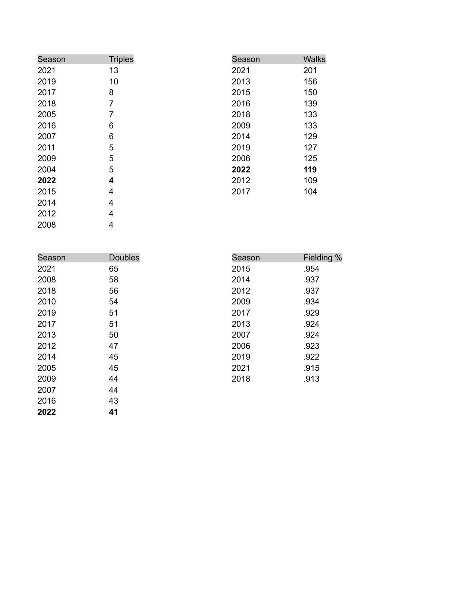| Season | <b>Triples</b> | Season | <b>Walks</b> |
|--------|----------------|--------|--------------|
| 2021   | 13             | 2021   | 201          |
| 2019   | 10             | 2013   | 156          |
| 2017   | 8              | 2015   | 150          |
| 2018   | 7              | 2016   | 139          |
| 2005   | 7              | 2018   | 133          |
| 2016   | 6              | 2009   | 133          |
| 2007   | 6              | 2014   | 129          |
| 2011   | 5              | 2019   | 127          |
| 2009   | 5              | 2006   | 125          |
| 2004   | 5              | 2022   | 119          |
| 2022   | 4              | 2012   | 109          |
| 2015   | 4              | 2017   | 104          |
| 2014   | 4              |        |              |
| 2012   | 4              |        |              |

0 0 8

Season Doubles 0 2 1 5 0 0 8 8 6 0 1 0 4 1 0 1 7 1 0 0 1 2 7 0 1 4 5 0 0 5 5 0 0 9 4 4 0 1 6 3 **0 2 2 1** Season Fieldin g % 201¦ .9 5 4 0 1 .9 3 7 0 1 .9 3 7 0 0 .9 3 4 0 1 .9 2 9 0 1 .9 2 4 0 0 .9 2 4 0 0 .9 2 3 201( .9 2 2  $202^{\circ}$  .9 1 5 0 1 .9 1 3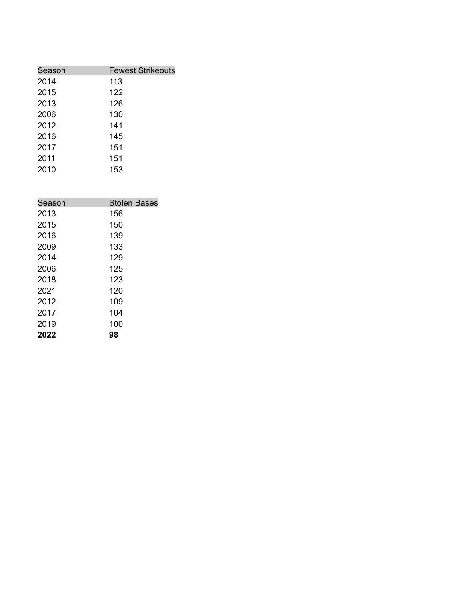| Season | <b>Fewest Strikeouts</b> |
|--------|--------------------------|
| 2014   | 113                      |
| 2015   | 122                      |
| 2013   | 126                      |
| 2006   | 130                      |
| 2012   | 141                      |
| 2016   | 145                      |
| 2017   | 151                      |
| 2011   | 151                      |
| 2010   | 153                      |

| Season | <b>Stolen Bases</b> |
|--------|---------------------|
| 2013   | 156                 |
| 2015   | 150                 |
| 2016   | 139                 |
| 2009   | 133                 |
| 2014   | 129                 |
| 2006   | 125                 |
| 2018   | 123                 |
| 2021   | 120                 |
| 2012   | 109                 |
| 2017   | 104                 |
| 2019   | 100                 |
| 2022   | 98                  |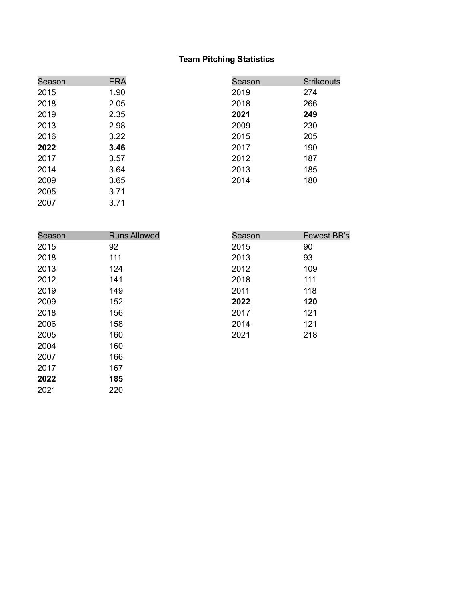## **Team Pitching Statistics**

| Season | <b>ERA</b> | Season | <b>Strikeouts</b> |
|--------|------------|--------|-------------------|
| 2015   | 1.90       | 2019   | 274               |
| 2018   | 2.05       | 2018   | 266               |
| 2019   | 2.35       | 2021   | 249               |
| 2013   | 2.98       | 2009   | 230               |
| 2016   | 3.22       | 2015   | 205               |
| 2022   | 3.46       | 2017   | 190               |
| 2017   | 3.57       | 2012   | 187               |
| 2014   | 3.64       | 2013   | 185               |
| 2009   | 3.65       | 2014   | 180               |
| 2005   | 3.71       |        |                   |
| 2007   | 3.71       |        |                   |

| Season | <b>Runs Allowed</b> | Season | Fewest BB's |
|--------|---------------------|--------|-------------|
| 2015   | 92                  | 2015   | 90          |
| 2018   | 111                 | 2013   | 93          |
| 2013   | 124                 | 2012   | 109         |
| 2012   | 141                 | 2018   | 111         |
| 2019   | 149                 | 2011   | 118         |
| 2009   | 152                 | 2022   | 120         |
| 2018   | 156                 | 2017   | 121         |
| 2006   | 158                 | 2014   | 121         |
| 2005   | 160                 | 2021   | 218         |
| 2004   | 160                 |        |             |
| 2007   | 166                 |        |             |
| 2017   | 167                 |        |             |
| 2022   | 185                 |        |             |

220